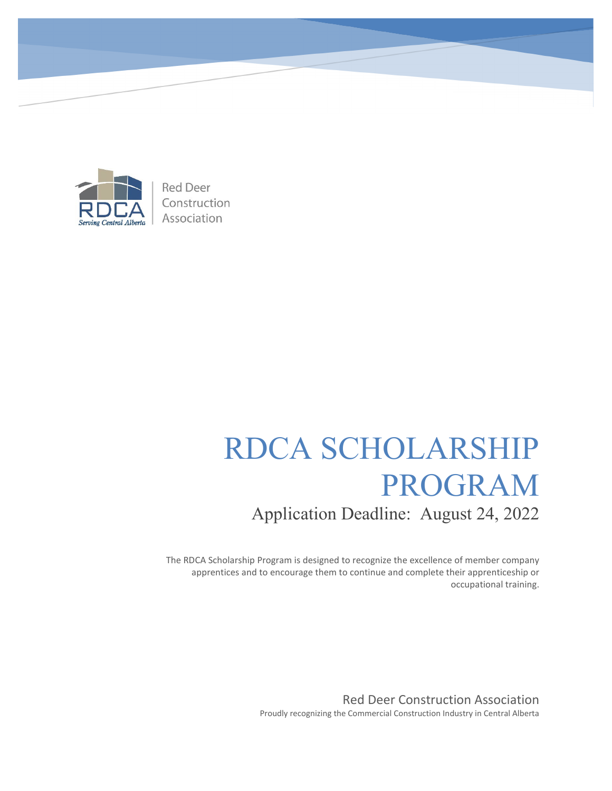

**Red Deer** Construction Association

# RDCA SCHOLARSHIP PROGRAM Application Deadline: August 24, 2022

The RDCA Scholarship Program is designed to recognize the excellence of member company apprentices and to encourage them to continue and complete their apprenticeship or occupational training.

> Red Deer Construction Association Proudly recognizing the Commercial Construction Industry in Central Alberta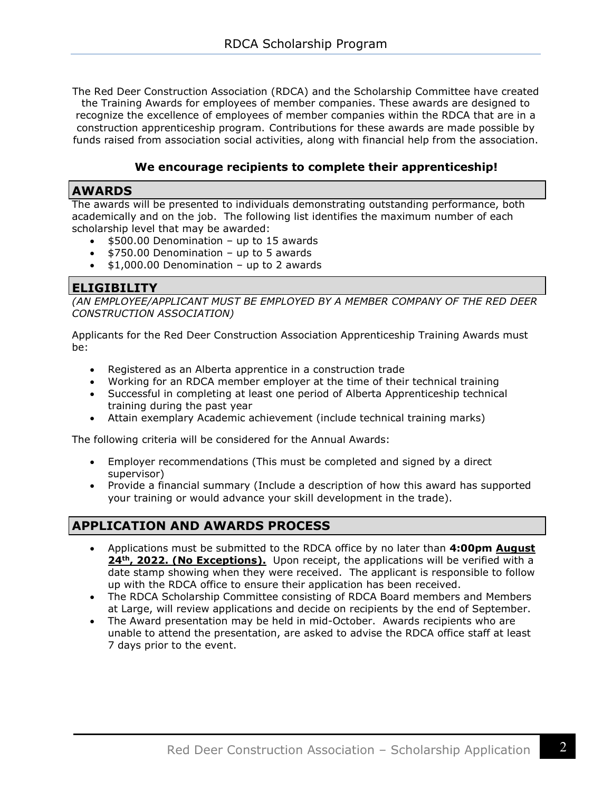The Red Deer Construction Association (RDCA) and the Scholarship Committee have created the Training Awards for employees of member companies. These awards are designed to recognize the excellence of employees of member companies within the RDCA that are in a construction apprenticeship program. Contributions for these awards are made possible by funds raised from association social activities, along with financial help from the association.

#### **We encourage recipients to complete their apprenticeship!**

#### **AWARDS**

The awards will be presented to individuals demonstrating outstanding performance, both academically and on the job. The following list identifies the maximum number of each scholarship level that may be awarded:

- \$500.00 Denomination up to 15 awards
- \$750.00 Denomination up to 5 awards
- $\bullet$  \$1,000.00 Denomination up to 2 awards

#### **ELIGIBILITY**

*(AN EMPLOYEE/APPLICANT MUST BE EMPLOYED BY A MEMBER COMPANY OF THE RED DEER CONSTRUCTION ASSOCIATION)*

Applicants for the Red Deer Construction Association Apprenticeship Training Awards must be:

- Registered as an Alberta apprentice in a construction trade
- Working for an RDCA member employer at the time of their technical training
- Successful in completing at least one period of Alberta Apprenticeship technical training during the past year
- Attain exemplary Academic achievement (include technical training marks)

The following criteria will be considered for the Annual Awards:

- Employer recommendations (This must be completed and signed by a direct supervisor)
- Provide a financial summary (Include a description of how this award has supported your training or would advance your skill development in the trade).

#### **APPLICATION AND AWARDS PROCESS**

- Applications must be submitted to the RDCA office by no later than **4:00pm August**  24<sup>th</sup>, 2022. (No Exceptions). Upon receipt, the applications will be verified with a date stamp showing when they were received. The applicant is responsible to follow up with the RDCA office to ensure their application has been received.
- The RDCA Scholarship Committee consisting of RDCA Board members and Members at Large, will review applications and decide on recipients by the end of September.
- The Award presentation may be held in mid-October. Awards recipients who are unable to attend the presentation, are asked to advise the RDCA office staff at least 7 days prior to the event.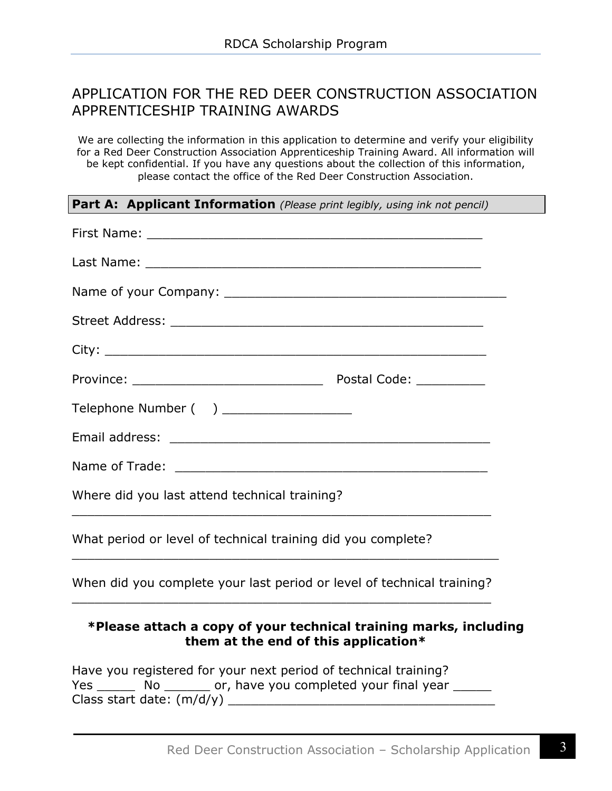### APPLICATION FOR THE RED DEER CONSTRUCTION ASSOCIATION APPRENTICESHIP TRAINING AWARDS

We are collecting the information in this application to determine and verify your eligibility for a Red Deer Construction Association Apprenticeship Training Award. All information will be kept confidential. If you have any questions about the collection of this information, please contact the office of the Red Deer Construction Association.

#### **Part A: Applicant Information** *(Please print legibly, using ink not pencil)*

| Telephone Number ( ) __________________                                                                   |
|-----------------------------------------------------------------------------------------------------------|
|                                                                                                           |
|                                                                                                           |
| Where did you last attend technical training?                                                             |
| What period or level of technical training did you complete?                                              |
| When did you complete your last period or level of technical training?                                    |
| *Please attach a copy of your technical training marks, including<br>them at the end of this application* |

Have you registered for your next period of technical training? Yes No Cor, have you completed your final year Class start date:  $(m/d/y)$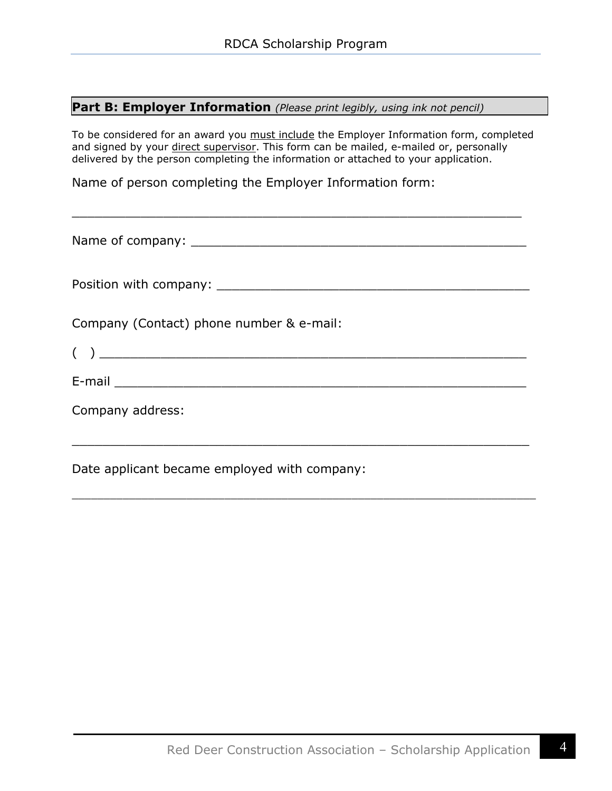#### **Part B: Employer Information** *(Please print legibly, using ink not pencil)*

To be considered for an award you must include the Employer Information form, completed and signed by your direct supervisor. This form can be mailed, e-mailed or, personally delivered by the person completing the information or attached to your application.

\_\_\_\_\_\_\_\_\_\_\_\_\_\_\_\_\_\_\_\_\_\_\_\_\_\_\_\_\_\_\_\_\_\_\_\_\_\_\_\_\_\_\_\_\_\_\_\_\_\_\_\_\_\_\_\_\_\_\_

Name of person completing the Employer Information form:

Name of company: \_\_\_\_\_\_\_\_\_\_\_\_\_\_\_\_\_\_\_\_\_\_\_\_\_\_\_\_\_\_\_\_\_\_\_\_\_\_\_\_\_\_\_\_ Position with company:  $\blacksquare$ Company (Contact) phone number & e-mail:  $($   $)$   $)$   $)$   $\overline{\phantom{a}}$ E-mail \_\_\_\_\_\_\_\_\_\_\_\_\_\_\_\_\_\_\_\_\_\_\_\_\_\_\_\_\_\_\_\_\_\_\_\_\_\_\_\_\_\_\_\_\_\_\_\_\_\_\_\_\_\_ Company address:  $\_$  . The contribution of the contribution of  $\mathcal{L}_1$  ,  $\mathcal{L}_2$  ,  $\mathcal{L}_3$  ,  $\mathcal{L}_4$  ,  $\mathcal{L}_5$  ,  $\mathcal{L}_6$  ,  $\mathcal{L}_7$  ,  $\mathcal{L}_8$  ,  $\mathcal{L}_7$  ,  $\mathcal{L}_8$  ,  $\mathcal{L}_9$  ,  $\mathcal{L}_9$  ,  $\mathcal{L}_8$  ,  $\mathcal{L}_9$  ,  $\mathcal{L}_$ 

 $\overline{\phantom{a}}$  , and the set of the set of the set of the set of the set of the set of the set of the set of the set of the set of the set of the set of the set of the set of the set of the set of the set of the set of the s

Date applicant became employed with company: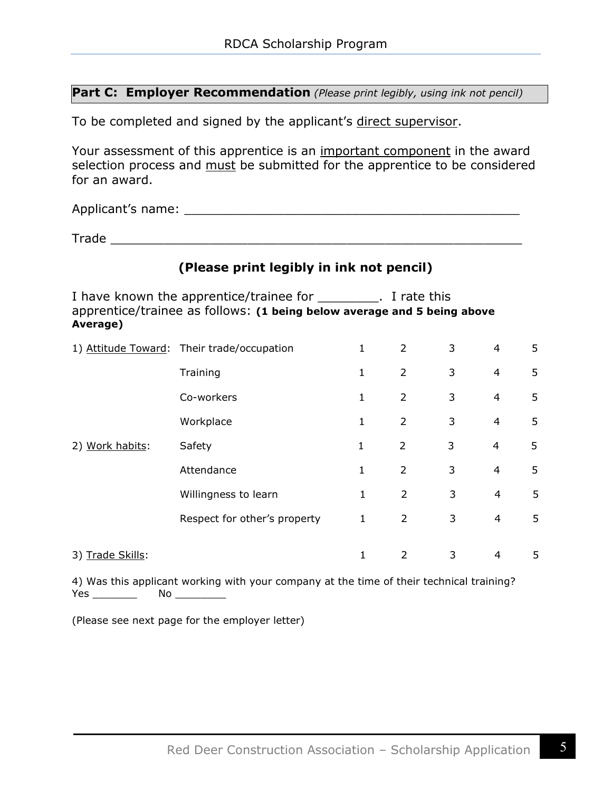#### **Part C: Employer Recommendation** *(Please print legibly, using ink not pencil)*

To be completed and signed by the applicant's direct supervisor.

Your assessment of this apprentice is an important component in the award selection process and must be submitted for the apprentice to be considered for an award.

Applicant's name: \_\_\_\_\_\_\_\_\_\_\_\_\_\_\_\_\_\_\_\_\_\_\_\_\_\_\_\_\_\_\_\_\_\_\_\_\_\_\_\_\_\_\_\_

Trade \_\_\_\_\_\_\_\_\_\_\_\_\_\_\_\_\_\_\_\_\_\_\_\_\_\_\_\_\_\_\_\_\_\_\_\_\_\_\_\_\_\_\_\_\_\_\_\_\_\_\_\_\_\_

# **(Please print legibly in ink not pencil)**

I have known the apprentice/trainee for \_\_\_\_\_\_\_\_\_. I rate this apprentice/trainee as follows: **(1 being below average and 5 being above Average)**

|                  | 1) Attitude Toward: Their trade/occupation | 1            | 2              | 3 | 4              | 5 |
|------------------|--------------------------------------------|--------------|----------------|---|----------------|---|
|                  | Training                                   | $\mathbf{1}$ | $\overline{2}$ | 3 | 4              | 5 |
|                  | Co-workers                                 | 1            | $\overline{2}$ | 3 | $\overline{4}$ | 5 |
|                  | Workplace                                  | 1            | $\overline{2}$ | 3 | 4              | 5 |
| 2) Work habits:  | Safety                                     | 1            | 2              | 3 | 4              | 5 |
|                  | Attendance                                 | 1            | $\overline{2}$ | 3 | 4              | 5 |
|                  | Willingness to learn                       | 1            | $\overline{2}$ | 3 | 4              | 5 |
|                  | Respect for other's property               | 1            | $\overline{2}$ | 3 | 4              | 5 |
|                  |                                            |              |                |   |                |   |
| 3) Trade Skills: |                                            | $\mathbf{1}$ | $\mathcal{P}$  | 3 | 4              | 5 |

4) Was this applicant working with your company at the time of their technical training? Yes \_\_\_\_\_\_\_ No \_\_\_\_\_\_\_\_

(Please see next page for the employer letter)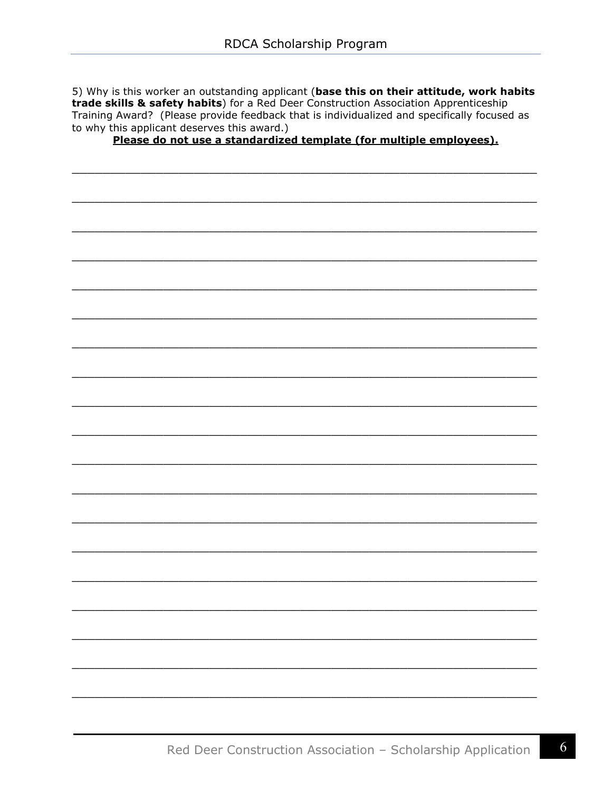5) Why is this worker an outstanding applicant (base this on their attitude, work habits trade skills & safety habits) for a Red Deer Construction Association Apprenticeship Training Award? (Please provide feedback that is individualized and specifically focused as to why this applicant deserves this award.)

Please do not use a standardized template (for multiple employees).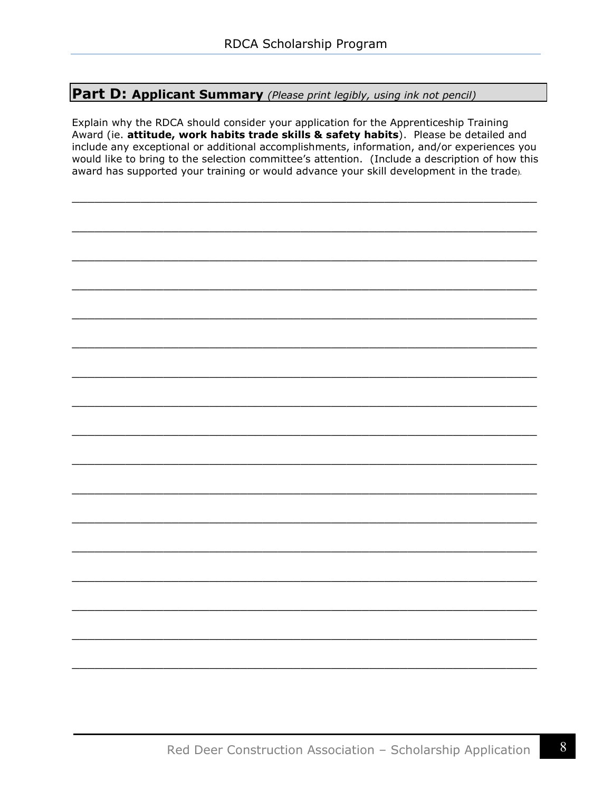#### **Part D: Applicant Summary** *(Please print legibly, using ink not pencil)*

Explain why the RDCA should consider your application for the Apprenticeship Training Award (ie. **attitude, work habits trade skills & safety habits**). Please be detailed and include any exceptional or additional accomplishments, information, and/or experiences you would like to bring to the selection committee's attention. (Include a description of how this award has supported your training or would advance your skill development in the trade).

\_\_\_\_\_\_\_\_\_\_\_\_\_\_\_\_\_\_\_\_\_\_\_\_\_\_\_\_\_\_\_\_\_\_\_\_\_\_\_\_\_\_\_\_\_\_\_\_\_\_\_\_\_\_\_\_\_\_\_\_\_

\_\_\_\_\_\_\_\_\_\_\_\_\_\_\_\_\_\_\_\_\_\_\_\_\_\_\_\_\_\_\_\_\_\_\_\_\_\_\_\_\_\_\_\_\_\_\_\_\_\_\_\_\_\_\_\_\_\_\_\_\_

\_\_\_\_\_\_\_\_\_\_\_\_\_\_\_\_\_\_\_\_\_\_\_\_\_\_\_\_\_\_\_\_\_\_\_\_\_\_\_\_\_\_\_\_\_\_\_\_\_\_\_\_\_\_\_\_\_\_\_\_\_

\_\_\_\_\_\_\_\_\_\_\_\_\_\_\_\_\_\_\_\_\_\_\_\_\_\_\_\_\_\_\_\_\_\_\_\_\_\_\_\_\_\_\_\_\_\_\_\_\_\_\_\_\_\_\_\_\_\_\_\_\_

\_\_\_\_\_\_\_\_\_\_\_\_\_\_\_\_\_\_\_\_\_\_\_\_\_\_\_\_\_\_\_\_\_\_\_\_\_\_\_\_\_\_\_\_\_\_\_\_\_\_\_\_\_\_\_\_\_\_\_\_\_

\_\_\_\_\_\_\_\_\_\_\_\_\_\_\_\_\_\_\_\_\_\_\_\_\_\_\_\_\_\_\_\_\_\_\_\_\_\_\_\_\_\_\_\_\_\_\_\_\_\_\_\_\_\_\_\_\_\_\_\_\_

\_\_\_\_\_\_\_\_\_\_\_\_\_\_\_\_\_\_\_\_\_\_\_\_\_\_\_\_\_\_\_\_\_\_\_\_\_\_\_\_\_\_\_\_\_\_\_\_\_\_\_\_\_\_\_\_\_\_\_\_\_

\_\_\_\_\_\_\_\_\_\_\_\_\_\_\_\_\_\_\_\_\_\_\_\_\_\_\_\_\_\_\_\_\_\_\_\_\_\_\_\_\_\_\_\_\_\_\_\_\_\_\_\_\_\_\_\_\_\_\_\_\_

\_\_\_\_\_\_\_\_\_\_\_\_\_\_\_\_\_\_\_\_\_\_\_\_\_\_\_\_\_\_\_\_\_\_\_\_\_\_\_\_\_\_\_\_\_\_\_\_\_\_\_\_\_\_\_\_\_\_\_\_\_

\_\_\_\_\_\_\_\_\_\_\_\_\_\_\_\_\_\_\_\_\_\_\_\_\_\_\_\_\_\_\_\_\_\_\_\_\_\_\_\_\_\_\_\_\_\_\_\_\_\_\_\_\_\_\_\_\_\_\_\_\_

\_\_\_\_\_\_\_\_\_\_\_\_\_\_\_\_\_\_\_\_\_\_\_\_\_\_\_\_\_\_\_\_\_\_\_\_\_\_\_\_\_\_\_\_\_\_\_\_\_\_\_\_\_\_\_\_\_\_\_\_\_

\_\_\_\_\_\_\_\_\_\_\_\_\_\_\_\_\_\_\_\_\_\_\_\_\_\_\_\_\_\_\_\_\_\_\_\_\_\_\_\_\_\_\_\_\_\_\_\_\_\_\_\_\_\_\_\_\_\_\_\_\_

\_\_\_\_\_\_\_\_\_\_\_\_\_\_\_\_\_\_\_\_\_\_\_\_\_\_\_\_\_\_\_\_\_\_\_\_\_\_\_\_\_\_\_\_\_\_\_\_\_\_\_\_\_\_\_\_\_\_\_\_\_

\_\_\_\_\_\_\_\_\_\_\_\_\_\_\_\_\_\_\_\_\_\_\_\_\_\_\_\_\_\_\_\_\_\_\_\_\_\_\_\_\_\_\_\_\_\_\_\_\_\_\_\_\_\_\_\_\_\_\_\_\_

\_\_\_\_\_\_\_\_\_\_\_\_\_\_\_\_\_\_\_\_\_\_\_\_\_\_\_\_\_\_\_\_\_\_\_\_\_\_\_\_\_\_\_\_\_\_\_\_\_\_\_\_\_\_\_\_\_\_\_\_\_

\_\_\_\_\_\_\_\_\_\_\_\_\_\_\_\_\_\_\_\_\_\_\_\_\_\_\_\_\_\_\_\_\_\_\_\_\_\_\_\_\_\_\_\_\_\_\_\_\_\_\_\_\_\_\_\_\_\_\_\_\_

\_\_\_\_\_\_\_\_\_\_\_\_\_\_\_\_\_\_\_\_\_\_\_\_\_\_\_\_\_\_\_\_\_\_\_\_\_\_\_\_\_\_\_\_\_\_\_\_\_\_\_\_\_\_\_\_\_\_\_\_\_

Red Deer Construction Association – Scholarship Application  $8$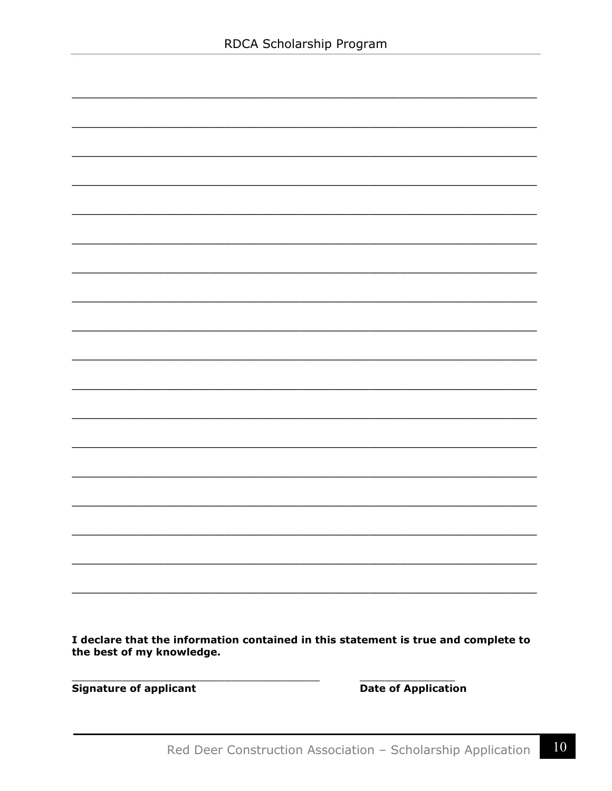I declare that the information contained in this statement is true and complete to the best of my knowledge.

**Signature of applicant** 

Date of Application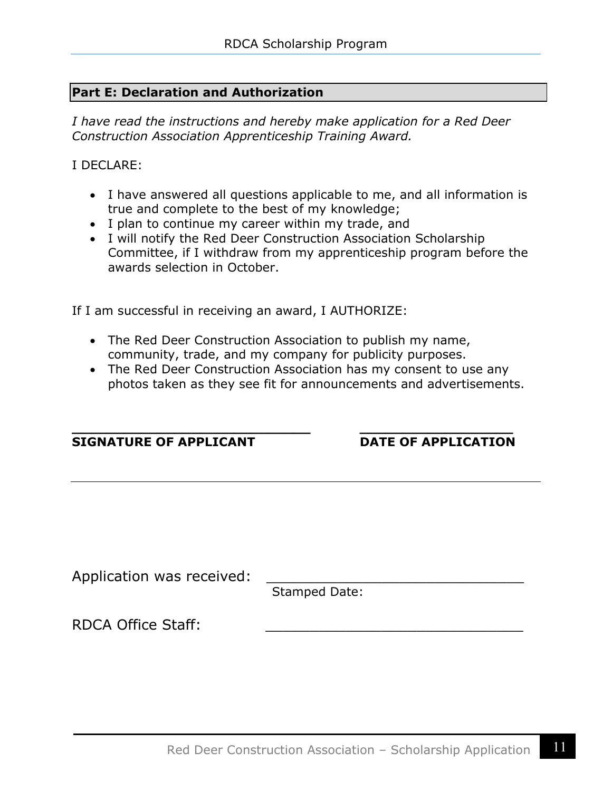#### **Part E: Declaration and Authorization**

*I have read the instructions and hereby make application for a Red Deer Construction Association Apprenticeship Training Award.*

I DECLARE:

- I have answered all questions applicable to me, and all information is true and complete to the best of my knowledge;
- I plan to continue my career within my trade, and
- I will notify the Red Deer Construction Association Scholarship Committee, if I withdraw from my apprenticeship program before the awards selection in October.

If I am successful in receiving an award, I AUTHORIZE:

- The Red Deer Construction Association to publish my name, community, trade, and my company for publicity purposes.
- The Red Deer Construction Association has my consent to use any photos taken as they see fit for announcements and advertisements.

| <b>SIGNATURE OF APPLICANT</b> | <b>DATE OF APPLICATION</b> |
|-------------------------------|----------------------------|
|                               |                            |
|                               |                            |
| Application was received:     | <b>Stamped Date:</b>       |
| <b>RDCA Office Staff:</b>     |                            |
|                               |                            |